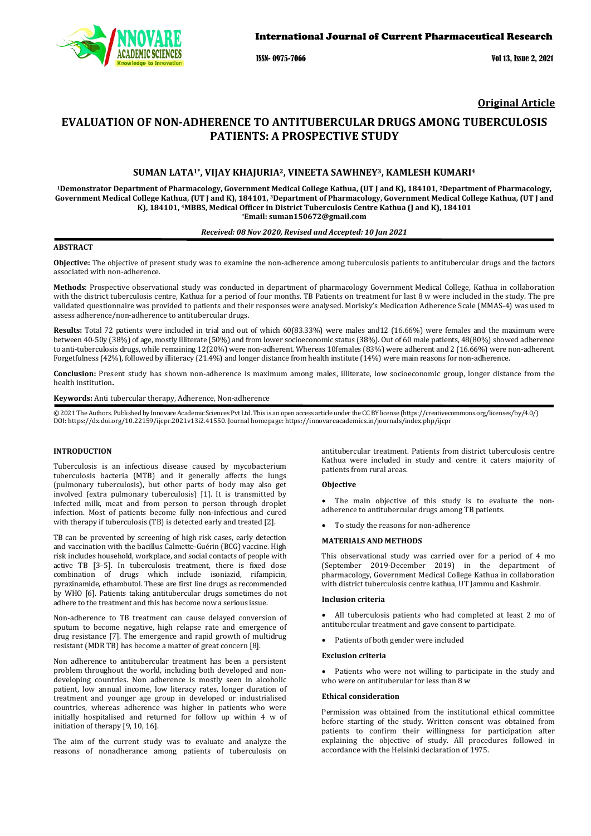

ISSN- 0975-7066 Vol 13, Issue 2, 2021

# **Original Article**

# **EVALUATION OF NON-ADHERENCE TO ANTITUBERCULAR DRUGS AMONG TUBERCULOSIS PATIENTS: A PROSPECTIVE STUDY**

# **SUMAN LATA1\*, VIJAY KHAJURIA2, VINEETA SAWHNEY3, KAMLESH KUMARI4**

**1Demonstrator Department of Pharmacology, Government Medical College Kathua, (UT J and K), 184101, 2Department of Pharmacology, Government Medical College Kathua, (UT J and K), 184101, 3Department of Pharmacology, Government Medical College Kathua, (UT J and K), 184101, 4MBBS, Medical Officer in District Tuberculosis Centre Kathua (J and K), 184101 \*Email: suman150672@gmail.com**

#### *Received: 08 Nov 2020, Revised and Accepted: 10 Jan 2021*

#### **ABSTRACT**

**Objective:** The objective of present study was to examine the non-adherence among tuberculosis patients to antitubercular drugs and the factors associated with non-adherence.

**Methods**: Prospective observational study was conducted in department of pharmacology Government Medical College, Kathua in collaboration with the district tuberculosis centre, Kathua for a period of four months. TB Patients on treatment for last 8 w were included in the study. The pre validated questionnaire was provided to patients and their responses were analysed. Morisky's Medication Adherence Scale (MMAS-4) was used to assess adherence/non-adherence to antitubercular drugs.

Results: Total 72 patients were included in trial and out of which 60(83.33%) were males and12 (16.66%) were females and the maximum were between 40-50y (38%) of age, mostly illiterate (50%) and from lower socioeconomic status (38%). Out of 60 male patients, 48(80%) showed adherence to anti-tuberculosis drugs, while remaining 12(20%) were non-adherent. Whereas 10females (83%) were adherent and 2 (16.66%) were non-adherent. Forgetfulness (42%), followed by illiteracy (21.4%) and longer distance from health institute (14%) were main reasons for non-adherence.

**Conclusion:** Present study has shown non-adherence is maximum among males, illiterate, low socioeconomic group, longer distance from the health institution**.**

**Keywords:** Anti tubercular therapy, Adherence, Non-adherence

© 2021 The Authors. Published by Innovare Academic Sciences Pvt Ltd. This is an open access article under the CC BY license [\(https://creativecommons.org/licenses/by/4.0/\)](https://creativecommons.org/licenses/by/4.0/) DOI: https://dx.doi.org/10.22159/ijcpr.2021v13i2.41550. Journal homepage[: https://innovareacademics.in/journals/index.php/ijcpr](https://innovareacademics.in/journals/index.php/ijcpr)

## **INTRODUCTION**

Tuberculosis is an infectious disease caused by mycobacterium tuberculosis bacteria (MTB) and it generally affects the lungs (pulmonary tuberculosis), but other parts of body may also get involved (extra pulmonary tuberculosis) [1]. It is transmitted by infected milk, meat and from person to person through droplet infection. Most of patients become fully non-infectious and cured with therapy if tuberculosis (TB) is detected early and treated [2].

TB can be prevented by screening of high risk cases, early detection and vaccination with the bacillus Calmette-Guérin (BCG) vaccine. High risk includes household, workplace, and social contacts of people with active TB [3–5]. In tuberculosis treatment, there is fixed dose combination of drugs which include isoniazid, rifampicin, pyrazinamide, ethambutol. These are first line drugs as recommended by WHO [6]. Patients taking antitubercular drugs sometimes do not adhere to the treatment and this has become now a serious issue.

Non-adherence to TB treatment can cause delayed conversion of sputum to become negative, high relapse rate and emergence of drug resistance [7]. The emergence and rapid growth of multidrug resistant (MDR TB) has become a matter of great concern [8].

Non adherence to antitubercular treatment has been a persistent problem throughout the world, including both developed and nondeveloping countries. Non adherence is mostly seen in alcoholic patient, low annual income, low literacy rates, longer duration of treatment and younger age group in developed or industrialised countries, whereas adherence was higher in patients who were initially hospitalised and returned for follow up within 4 w of initiation of therapy [9, 10, 16].

The aim of the current study was to evaluate and analyze the reasons of nonadherance among patients of tuberculosis on

antitubercular treatment. Patients from district tuberculosis centre Kathua were included in study and centre it caters majority of patients from rural areas.

#### **Objective**

The main objective of this study is to evaluate the nonadherence to antitubercular drugs among TB patients.

• To study the reasons for non-adherence

## **MATERIALS AND METHODS**

This observational study was carried over for a period of 4 mo (September 2019-December 2019) in the department of pharmacology, Government Medical College Kathua in collaboration with district tuberculosis centre kathua, UT Jammu and Kashmir.

#### **Inclusion criteria**

All tuberculosis patients who had completed at least 2 mo of antitubercular treatment and gave consent to participate.

Patients of both gender were included

#### **Exclusion criteria**

Patients who were not willing to participate in the study and who were on antituberular for less than 8 w

### **Ethical consideration**

Permission was obtained from the institutional ethical committee before starting of the study. Written consent was obtained from patients to confirm their willingness for participation after explaining the objective of study. All procedures followed in accordance with the Helsinki declaration of 1975.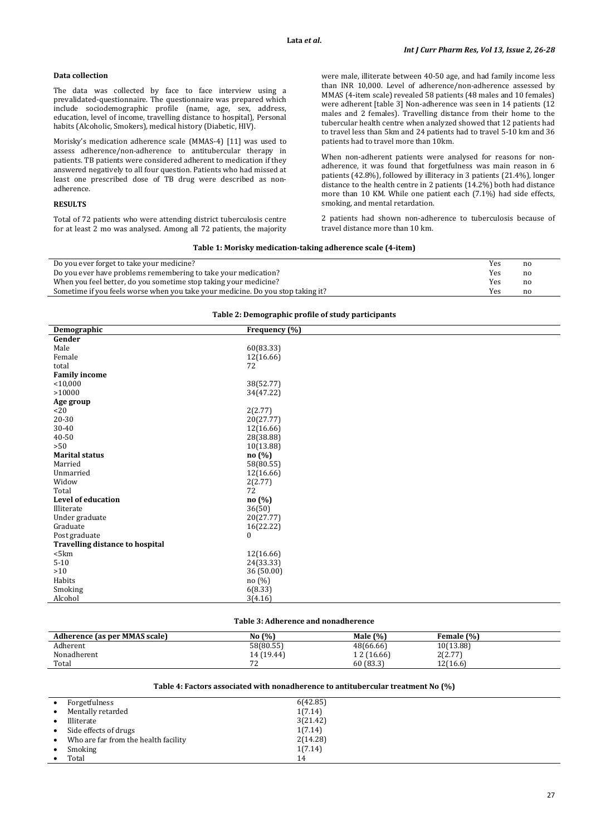## **Data collection**

The data was collected by face to face interview using a prevalidated-questionnaire. The questionnaire was prepared which include sociodemographic profile (name, age, sex, address, education, level of income, travelling distance to hospital), Personal habits (Alcoholic, Smokers), medical history (Diabetic, HIV).

Morisky's medication adherence scale (MMAS-4) [11] was used to assess adherence/non-adherence to antitubercular therapy in patients. TB patients were considered adherent to medication if they answered negatively to all four question. Patients who had missed at least one prescribed dose of TB drug were described as nonadherence.

#### **RESULTS**

Total of 72 patients who were attending district tuberculosis centre for at least 2 mo was analysed. Among all 72 patients, the majority

were male, illiterate between 40-50 age, and had family income less than INR 10,000. Level of adherence/non-adherence assessed by MMAS (4-item scale) revealed 58 patients (48 males and 10 females) were adherent [table 3] Non-adherence was seen in 14 patients (12 males and 2 females). Travelling distance from their home to the tubercular health centre when analyzed showed that 12 patients had to travel less than 5km and 24 patients had to travel 5-10 km and 36 patients had to travel more than 10km.

When non-adherent patients were analysed for reasons for nonadherence, it was found that forgetfulness was main reason in 6 patients (42.8%), followed by illiteracy in 3 patients (21.4%), longer distance to the health centre in 2 patients (14.2%) both had distance more than 10 KM. While one patient each (7.1%) had side effects, smoking, and mental retardation.

2 patients had shown non-adherence to tuberculosis because of travel distance more than 10 km.

#### **Table 1: Morisky medication-taking adherence scale (4-item)**

| Do you ever forget to take your medicine?                                       | Yes | nc |
|---------------------------------------------------------------------------------|-----|----|
| Do you ever have problems remembering to take your medication?                  | Yes | no |
| When you feel better, do you sometime stop taking your medicine?                | Yes | no |
| Sometime if you feels worse when you take your medicine. Do you stop taking it? | Yes | no |
|                                                                                 |     |    |

## **Table 2: Demographic profile of study participants**

| raoic 2. Demographic prome or staay participants |                  |  |  |  |
|--------------------------------------------------|------------------|--|--|--|
| Demographic                                      | Frequency (%)    |  |  |  |
| Gender                                           |                  |  |  |  |
| Male                                             | 60(83.33)        |  |  |  |
| Female                                           | 12(16.66)        |  |  |  |
| total                                            | 72               |  |  |  |
| <b>Family income</b>                             |                  |  |  |  |
| $<$ 10,000                                       | 38(52.77)        |  |  |  |
| >10000                                           | 34(47.22)        |  |  |  |
| Age group                                        |                  |  |  |  |
| <20                                              | 2(2.77)          |  |  |  |
| 20-30                                            | 20(27.77)        |  |  |  |
| 30-40                                            | 12(16.66)        |  |  |  |
| 40-50                                            | 28(38.88)        |  |  |  |
| >50                                              | 10(13.88)        |  |  |  |
| <b>Marital status</b>                            | no(%)            |  |  |  |
| Married                                          | 58(80.55)        |  |  |  |
| Unmarried                                        | 12(16.66)        |  |  |  |
| Widow                                            | 2(2.77)          |  |  |  |
| Total                                            | 72               |  |  |  |
| <b>Level of education</b>                        | no (%)           |  |  |  |
| Illiterate                                       | 36(50)           |  |  |  |
| Under graduate                                   | 20(27.77)        |  |  |  |
| Graduate                                         | 16(22.22)        |  |  |  |
| Post graduate                                    | $\boldsymbol{0}$ |  |  |  |
| <b>Travelling distance to hospital</b>           |                  |  |  |  |
| $5km$                                            | 12(16.66)        |  |  |  |
| $5 - 10$                                         | 24(33.33)        |  |  |  |
| >10                                              | 36(50.00)        |  |  |  |
| Habits                                           | no(%)            |  |  |  |
| Smoking                                          | 6(8.33)          |  |  |  |
| Alcohol                                          | 3(4.16)          |  |  |  |
|                                                  |                  |  |  |  |

## **Table 3: Adherence and nonadherence**

| Adherence (as per MMAS scale) | No $(%)$     | Male $(\% )$ | Female (%)       |
|-------------------------------|--------------|--------------|------------------|
| Adherent                      | 58(80.55)    | 48(66.66)    | 10(13.88)        |
| Nonadherent                   | 14 (19.44)   | 1 2 (16.66)  | 2(2.77)<br>2 2.7 |
| Total                         | $\mathbf{z}$ | 60 (83.3)    | 12(16.6)         |

## **Table 4: Factors associated with nonadherence to antitubercular treatment No (%)**

|           | Forgetfulness                        | 6(42.85) |
|-----------|--------------------------------------|----------|
|           | Mentally retarded                    | 1(7.14)  |
|           | Illiterate                           | 3(21.42) |
| $\bullet$ | Side effects of drugs                | 1(7.14)  |
| $\bullet$ | Who are far from the health facility | 2(14.28) |
| $\bullet$ | Smoking                              | 1(7.14)  |
|           | Total                                | 14       |